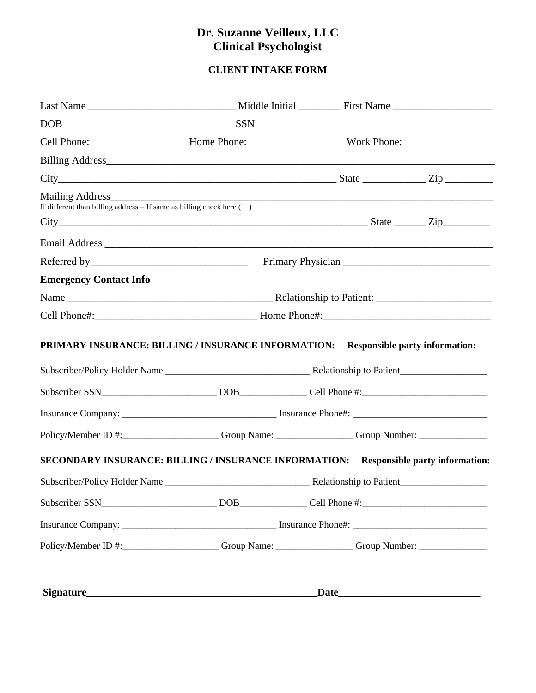# **Dr. Suzanne Veilleux, LLC Clinical Psychologist**

# **CLIENT INTAKE FORM**

| $DOB$ $SSN$                                                                                         |  |  |
|-----------------------------------------------------------------------------------------------------|--|--|
|                                                                                                     |  |  |
|                                                                                                     |  |  |
| $City$ State $Zip$                                                                                  |  |  |
| Mailing Address<br>If different than billing address $-$ If same as billing check here $($ )        |  |  |
| $City$ State $Zip$                                                                                  |  |  |
|                                                                                                     |  |  |
|                                                                                                     |  |  |
| <b>Emergency Contact Info</b>                                                                       |  |  |
|                                                                                                     |  |  |
|                                                                                                     |  |  |
|                                                                                                     |  |  |
|                                                                                                     |  |  |
| Policy/Member ID #:_____________________Group Name: ________________Group Number: _________________ |  |  |
| SECONDARY INSURANCE: BILLING / INSURANCE INFORMATION: Responsible party information:                |  |  |
|                                                                                                     |  |  |
|                                                                                                     |  |  |
| Policy/Member ID #: Group Name: Group Name: Group Number: _______________________                   |  |  |
|                                                                                                     |  |  |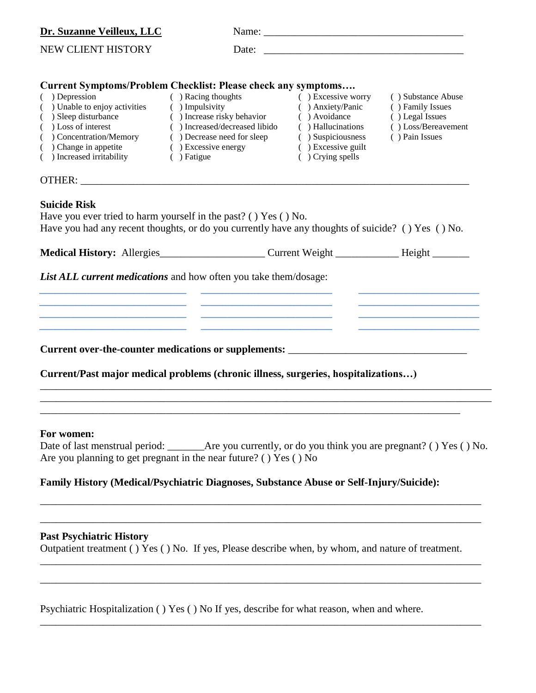| Dr. Suzanne Veilleux, LLC                                                                                                                                                                                                                                                                                                                                                |                                                                                                                                                                                |                                                                                                                                                       |                                                                                                    |
|--------------------------------------------------------------------------------------------------------------------------------------------------------------------------------------------------------------------------------------------------------------------------------------------------------------------------------------------------------------------------|--------------------------------------------------------------------------------------------------------------------------------------------------------------------------------|-------------------------------------------------------------------------------------------------------------------------------------------------------|----------------------------------------------------------------------------------------------------|
| NEW CLIENT HISTORY                                                                                                                                                                                                                                                                                                                                                       | Date:                                                                                                                                                                          |                                                                                                                                                       |                                                                                                    |
| <b>Current Symptoms/Problem Checklist: Please check any symptoms</b>                                                                                                                                                                                                                                                                                                     |                                                                                                                                                                                |                                                                                                                                                       |                                                                                                    |
| $( )$ Depression<br>( ) Unable to enjoy activities<br>( ) Sleep disturbance<br>( ) Loss of interest<br>( ) Concentration/Memory<br>$($ ) Change in appetite<br>() Increased irritability                                                                                                                                                                                 | ( ) Racing thoughts<br>( ) Impulsivity<br>() Increase risky behavior<br>( ) Increased/decreased libido<br>( ) Decrease need for sleep<br>$( )$ Excessive energy<br>( ) Fatigue | $( )$ Excessive worry<br>( ) Anxiety/Panic<br>( ) Avoidance<br>( ) Hallucinations<br>( ) Suspiciousness<br>( ) Excessive guilt<br>$( )$ Crying spells | () Substance Abuse<br>() Family Issues<br>() Legal Issues<br>() Loss/Bereavement<br>() Pain Issues |
|                                                                                                                                                                                                                                                                                                                                                                          |                                                                                                                                                                                |                                                                                                                                                       |                                                                                                    |
| Have you ever tried to harm yourself in the past? ( $\cdot$ ) Yes ( $\cdot$ ) No.<br>Have you had any recent thoughts, or do you currently have any thoughts of suicide? () Yes () No.<br>Medical History: Allergies_______________________Current Weight _______________Height _____________<br><b>List ALL current medications</b> and how often you take them/dosage: |                                                                                                                                                                                |                                                                                                                                                       |                                                                                                    |
|                                                                                                                                                                                                                                                                                                                                                                          |                                                                                                                                                                                |                                                                                                                                                       |                                                                                                    |
|                                                                                                                                                                                                                                                                                                                                                                          |                                                                                                                                                                                |                                                                                                                                                       |                                                                                                    |
| Current/Past major medical problems (chronic illness, surgeries, hospitalizations)                                                                                                                                                                                                                                                                                       |                                                                                                                                                                                |                                                                                                                                                       |                                                                                                    |
|                                                                                                                                                                                                                                                                                                                                                                          |                                                                                                                                                                                |                                                                                                                                                       |                                                                                                    |
|                                                                                                                                                                                                                                                                                                                                                                          |                                                                                                                                                                                |                                                                                                                                                       |                                                                                                    |
| For women:                                                                                                                                                                                                                                                                                                                                                               |                                                                                                                                                                                |                                                                                                                                                       |                                                                                                    |

| Date of last menstrual period:                                                      | $\Delta$ re you currently, or do you think you are pregnant? () Yes () No. |
|-------------------------------------------------------------------------------------|----------------------------------------------------------------------------|
| Are you planning to get pregnant in the near future? ( $\cdot$ ) Yes ( $\cdot$ ) No |                                                                            |

\_\_\_\_\_\_\_\_\_\_\_\_\_\_\_\_\_\_\_\_\_\_\_\_\_\_\_\_\_\_\_\_\_\_\_\_\_\_\_\_\_\_\_\_\_\_\_\_\_\_\_\_\_\_\_\_\_\_\_\_\_\_\_\_\_\_\_\_\_\_\_\_\_\_\_\_\_\_\_\_\_\_\_\_

\_\_\_\_\_\_\_\_\_\_\_\_\_\_\_\_\_\_\_\_\_\_\_\_\_\_\_\_\_\_\_\_\_\_\_\_\_\_\_\_\_\_\_\_\_\_\_\_\_\_\_\_\_\_\_\_\_\_\_\_\_\_\_\_\_\_\_\_\_\_\_\_\_\_\_\_\_\_\_\_\_\_\_\_

\_\_\_\_\_\_\_\_\_\_\_\_\_\_\_\_\_\_\_\_\_\_\_\_\_\_\_\_\_\_\_\_\_\_\_\_\_\_\_\_\_\_\_\_\_\_\_\_\_\_\_\_\_\_\_\_\_\_\_\_\_\_\_\_\_\_\_\_\_\_\_\_\_\_\_\_\_\_\_\_\_\_\_\_

\_\_\_\_\_\_\_\_\_\_\_\_\_\_\_\_\_\_\_\_\_\_\_\_\_\_\_\_\_\_\_\_\_\_\_\_\_\_\_\_\_\_\_\_\_\_\_\_\_\_\_\_\_\_\_\_\_\_\_\_\_\_\_\_\_\_\_\_\_\_\_\_\_\_\_\_\_\_\_\_\_\_\_\_

\_\_\_\_\_\_\_\_\_\_\_\_\_\_\_\_\_\_\_\_\_\_\_\_\_\_\_\_\_\_\_\_\_\_\_\_\_\_\_\_\_\_\_\_\_\_\_\_\_\_\_\_\_\_\_\_\_\_\_\_\_\_\_\_\_\_\_\_\_\_\_\_\_\_\_\_\_\_\_\_\_\_\_\_

# **Family History (Medical/Psychiatric Diagnoses, Substance Abuse or Self-Injury/Suicide):**

# **Past Psychiatric History**

Outpatient treatment ( ) Yes ( ) No. If yes, Please describe when, by whom, and nature of treatment.

Psychiatric Hospitalization ( ) Yes ( ) No If yes, describe for what reason, when and where.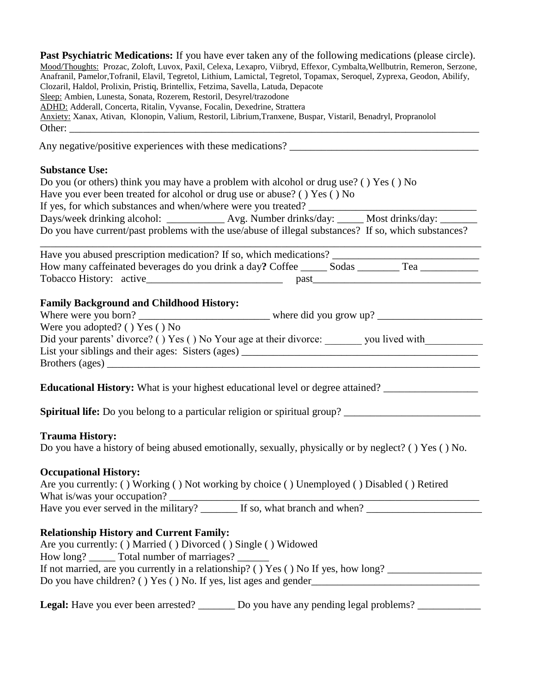| <b>Past Psychiatric Medications:</b> If you have ever taken any of the following medications (please circle).             |
|---------------------------------------------------------------------------------------------------------------------------|
| Mood/Thoughts: Prozac, Zoloft, Luvox, Paxil, Celexa, Lexapro, Viibryd, Effexor, Cymbalta, Wellbutrin, Remeron, Serzone,   |
| Anafranil, Pamelor, Tofranil, Elavil, Tegretol, Lithium, Lamictal, Tegretol, Topamax, Seroquel, Zyprexa, Geodon, Abilify, |
| Clozaril, Haldol, Prolixin, Pristiq, Brintellix, Fetzima, Savella, Latuda, Depacote                                       |
| Sleep: Ambien, Lunesta, Sonata, Rozerem, Restoril, Desyrel/trazodone                                                      |
| <b>ADHD</b> : Adderall, Concerta, Ritalin, Vyvanse, Focalin, Dexedrine, Strattera                                         |
| Anxiety: Xanax, Ativan, Klonopin, Valium, Restoril, Librium, Tranxene, Buspar, Vistaril, Benadryl, Propranolol            |
| Other:                                                                                                                    |
|                                                                                                                           |

Any negative/positive experiences with these medications? \_\_\_\_\_\_\_\_\_\_\_\_\_\_\_\_\_\_\_\_\_\_\_\_\_\_\_\_\_\_\_\_\_\_\_\_

#### **Substance Use:**

| Do you (or others) think you may have a problem with alcohol or drug use? () Yes () No               |  |  |
|------------------------------------------------------------------------------------------------------|--|--|
| Have you ever been treated for alcohol or drug use or abuse? () Yes () No                            |  |  |
| If yes, for which substances and when/where were you treated?                                        |  |  |
|                                                                                                      |  |  |
| Do you have current/past problems with the use/abuse of illegal substances? If so, which substances? |  |  |

| Have you abused prescription medication? If so, which medications?        |  |
|---------------------------------------------------------------------------|--|
| How many caffeinated beverages do you drink a day? Coffee<br>Sodas<br>Tea |  |
| Tobacco History: active<br>past                                           |  |

# **Family Background and Childhood History:**

| Where were you born?                                               | where did you grow up? $\frac{ }{ }$ |
|--------------------------------------------------------------------|--------------------------------------|
| Were you adopted? () $Yes$ () No                                   |                                      |
| Did your parents' divorce? () Yes () No Your age at their divorce: | you lived with                       |
| List your siblings and their ages: Sisters (ages)                  |                                      |
| Brothers (ages)                                                    |                                      |

Educational History: What is your highest educational level or degree attained? \_\_\_\_\_\_\_\_\_\_\_\_\_\_\_\_\_\_\_\_\_\_\_\_\_\_\_\_\_\_

Spiritual life: Do you belong to a particular religion or spiritual group? \_\_\_\_\_\_\_\_\_\_\_\_\_\_\_\_\_\_\_\_\_\_\_\_\_\_\_\_\_\_\_\_\_\_\_

#### **Trauma History:**

Do you have a history of being abused emotionally, sexually, physically or by neglect? ( ) Yes ( ) No.

#### **Occupational History:**

| Are you currently: () Working () Not working by choice () Unemployed () Disabled () Retired |  |
|---------------------------------------------------------------------------------------------|--|
| What is/was your occupation?                                                                |  |

Have you ever served in the military? \_\_\_\_\_\_\_ If so, what branch and when? \_\_\_\_\_\_\_\_\_\_\_\_\_\_\_\_\_\_\_\_\_\_

# **Relationship History and Current Family:**

| Are you currently: () Married () Divorced () Single () Widowed                      |
|-------------------------------------------------------------------------------------|
| How long? ______ Total number of marriages? ______                                  |
| If not married, are you currently in a relationship? () Yes () No If yes, how long? |
| Do you have children? () Yes () No. If yes, list ages and gender                    |

Legal: Have you ever been arrested? \_\_\_\_\_\_\_ Do you have any pending legal problems? \_\_\_\_\_\_\_\_\_\_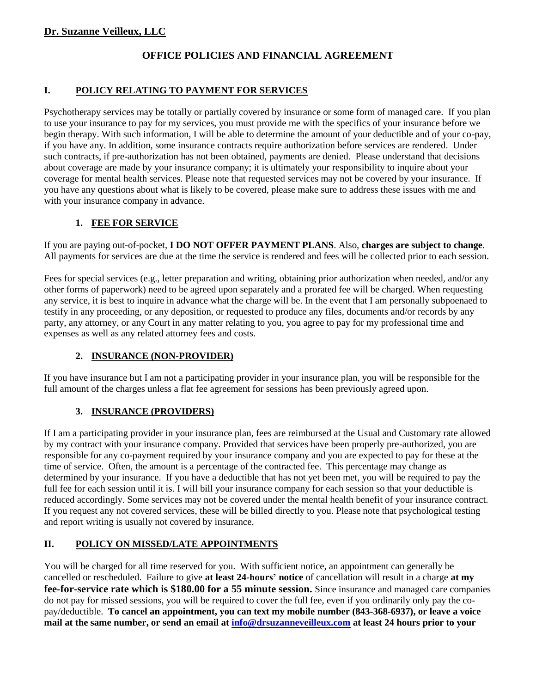# **Dr. Suzanne Veilleux, LLC**

# **OFFICE POLICIES AND FINANCIAL AGREEMENT**

#### **I. POLICY RELATING TO PAYMENT FOR SERVICES**

Psychotherapy services may be totally or partially covered by insurance or some form of managed care. If you plan to use your insurance to pay for my services, you must provide me with the specifics of your insurance before we begin therapy. With such information, I will be able to determine the amount of your deductible and of your co-pay, if you have any. In addition, some insurance contracts require authorization before services are rendered. Under such contracts, if pre-authorization has not been obtained, payments are denied. Please understand that decisions about coverage are made by your insurance company; it is ultimately your responsibility to inquire about your coverage for mental health services. Please note that requested services may not be covered by your insurance. If you have any questions about what is likely to be covered, please make sure to address these issues with me and with your insurance company in advance.

#### **1. FEE FOR SERVICE**

If you are paying out-of-pocket, **I DO NOT OFFER PAYMENT PLANS**. Also, **charges are subject to change**. All payments for services are due at the time the service is rendered and fees will be collected prior to each session.

Fees for special services (e.g., letter preparation and writing, obtaining prior authorization when needed, and/or any other forms of paperwork) need to be agreed upon separately and a prorated fee will be charged. When requesting any service, it is best to inquire in advance what the charge will be. In the event that I am personally subpoenaed to testify in any proceeding, or any deposition, or requested to produce any files, documents and/or records by any party, any attorney, or any Court in any matter relating to you, you agree to pay for my professional time and expenses as well as any related attorney fees and costs.

#### **2. INSURANCE (NON-PROVIDER)**

If you have insurance but I am not a participating provider in your insurance plan, you will be responsible for the full amount of the charges unless a flat fee agreement for sessions has been previously agreed upon.

# **3. INSURANCE (PROVIDERS)**

If I am a participating provider in your insurance plan, fees are reimbursed at the Usual and Customary rate allowed by my contract with your insurance company. Provided that services have been properly pre-authorized, you are responsible for any co-payment required by your insurance company and you are expected to pay for these at the time of service. Often, the amount is a percentage of the contracted fee. This percentage may change as determined by your insurance. If you have a deductible that has not yet been met, you will be required to pay the full fee for each session until it is. I will bill your insurance company for each session so that your deductible is reduced accordingly. Some services may not be covered under the mental health benefit of your insurance contract. If you request any not covered services, these will be billed directly to you. Please note that psychological testing and report writing is usually not covered by insurance.

# **II. POLICY ON MISSED/LATE APPOINTMENTS**

You will be charged for all time reserved for you. With sufficient notice, an appointment can generally be cancelled or rescheduled. Failure to give **at least 24-hours' notice** of cancellation will result in a charge **at my fee-for-service rate which is \$180.00 for a 55 minute session.** Since insurance and managed care companies do not pay for missed sessions, you will be required to cover the full fee, even if you ordinarily only pay the copay/deductible. **To cancel an appointment, you can text my mobile number (843-368-6937), or leave a voice mail at the same number, or send an email at [info@drsuzanneveilleux.com](mailto:info@drsuzanneveilleux.com) at least 24 hours prior to your**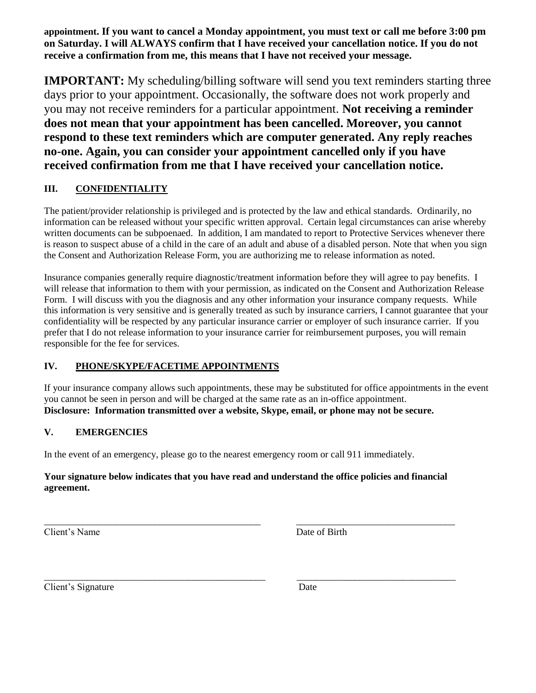**appointment. If you want to cancel a Monday appointment, you must text or call me before 3:00 pm on Saturday. I will ALWAYS confirm that I have received your cancellation notice. If you do not receive a confirmation from me, this means that I have not received your message.**

**IMPORTANT:** My scheduling/billing software will send you text reminders starting three days prior to your appointment. Occasionally, the software does not work properly and you may not receive reminders for a particular appointment. **Not receiving a reminder does not mean that your appointment has been cancelled. Moreover, you cannot respond to these text reminders which are computer generated. Any reply reaches no-one. Again, you can consider your appointment cancelled only if you have received confirmation from me that I have received your cancellation notice.**

# **III. CONFIDENTIALITY**

The patient/provider relationship is privileged and is protected by the law and ethical standards. Ordinarily, no information can be released without your specific written approval. Certain legal circumstances can arise whereby written documents can be subpoenaed. In addition, I am mandated to report to Protective Services whenever there is reason to suspect abuse of a child in the care of an adult and abuse of a disabled person. Note that when you sign the Consent and Authorization Release Form, you are authorizing me to release information as noted.

Insurance companies generally require diagnostic/treatment information before they will agree to pay benefits. I will release that information to them with your permission, as indicated on the Consent and Authorization Release Form. I will discuss with you the diagnosis and any other information your insurance company requests. While this information is very sensitive and is generally treated as such by insurance carriers, I cannot guarantee that your confidentiality will be respected by any particular insurance carrier or employer of such insurance carrier. If you prefer that I do not release information to your insurance carrier for reimbursement purposes, you will remain responsible for the fee for services.

# **IV. PHONE/SKYPE/FACETIME APPOINTMENTS**

If your insurance company allows such appointments, these may be substituted for office appointments in the event you cannot be seen in person and will be charged at the same rate as an in-office appointment. **Disclosure: Information transmitted over a website, Skype, email, or phone may not be secure.** 

#### **V. EMERGENCIES**

In the event of an emergency, please go to the nearest emergency room or call 911 immediately.

#### **Your signature below indicates that you have read and understand the office policies and financial agreement.**

\_\_\_\_\_\_\_\_\_\_\_\_\_\_\_\_\_\_\_\_\_\_\_\_\_\_\_\_\_\_\_\_\_\_\_\_\_\_\_\_\_\_\_\_\_ \_\_\_\_\_\_\_\_\_\_\_\_\_\_\_\_\_\_\_\_\_\_\_\_\_\_\_\_\_\_\_\_\_

\_\_\_\_\_\_\_\_\_\_\_\_\_\_\_\_\_\_\_\_\_\_\_\_\_\_\_\_\_\_\_\_\_\_\_\_\_\_\_\_\_\_\_\_\_\_ \_\_\_\_\_\_\_\_\_\_\_\_\_\_\_\_\_\_\_\_\_\_\_\_\_\_\_\_\_\_\_\_\_

Client's Name Date of Birth

Client's Signature Date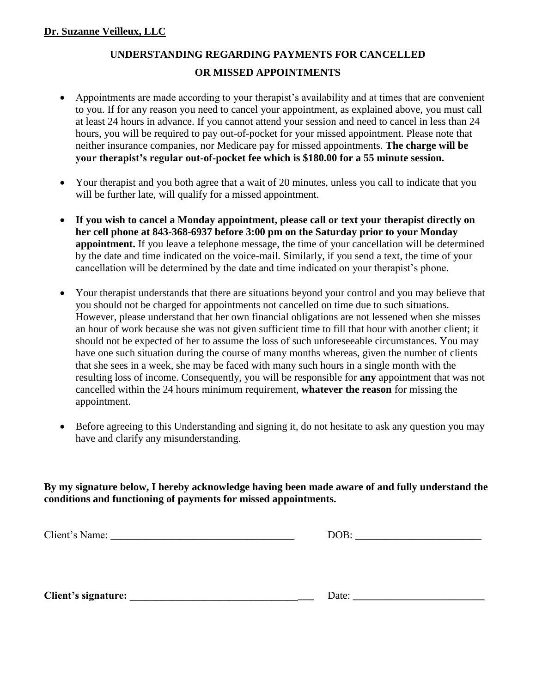# **UNDERSTANDING REGARDING PAYMENTS FOR CANCELLED OR MISSED APPOINTMENTS**

- Appointments are made according to your therapist's availability and at times that are convenient to you. If for any reason you need to cancel your appointment, as explained above, you must call at least 24 hours in advance. If you cannot attend your session and need to cancel in less than 24 hours, you will be required to pay out-of-pocket for your missed appointment. Please note that neither insurance companies, nor Medicare pay for missed appointments. **The charge will be your therapist's regular out-of-pocket fee which is \$180.00 for a 55 minute session.**
- Your therapist and you both agree that a wait of 20 minutes, unless you call to indicate that you will be further late, will qualify for a missed appointment.
- **If you wish to cancel a Monday appointment, please call or text your therapist directly on her cell phone at 843-368-6937 before 3:00 pm on the Saturday prior to your Monday appointment.** If you leave a telephone message, the time of your cancellation will be determined by the date and time indicated on the voice-mail. Similarly, if you send a text, the time of your cancellation will be determined by the date and time indicated on your therapist's phone.
- Your therapist understands that there are situations beyond your control and you may believe that you should not be charged for appointments not cancelled on time due to such situations. However, please understand that her own financial obligations are not lessened when she misses an hour of work because she was not given sufficient time to fill that hour with another client; it should not be expected of her to assume the loss of such unforeseeable circumstances. You may have one such situation during the course of many months whereas, given the number of clients that she sees in a week, she may be faced with many such hours in a single month with the resulting loss of income. Consequently, you will be responsible for **any** appointment that was not cancelled within the 24 hours minimum requirement, **whatever the reason** for missing the appointment.
- Before agreeing to this Understanding and signing it, do not hesitate to ask any question you may have and clarify any misunderstanding.

**By my signature below, I hereby acknowledge having been made aware of and fully understand the conditions and functioning of payments for missed appointments.** 

Client's Name: \_\_\_\_\_\_\_\_\_\_\_\_\_\_\_\_\_\_\_\_\_\_\_\_\_\_\_\_\_\_\_\_\_\_\_ DOB: \_\_\_\_\_\_\_\_\_\_\_\_\_\_\_\_\_\_\_\_\_\_\_\_

**Client's signature: \_\_\_\_\_\_\_\_\_\_\_\_\_\_\_\_\_\_\_\_\_\_\_\_\_\_\_\_\_\_\_\_\_\_\_** Date: **\_\_\_\_\_\_\_\_\_\_\_\_\_\_\_\_\_\_\_\_\_\_\_\_\_**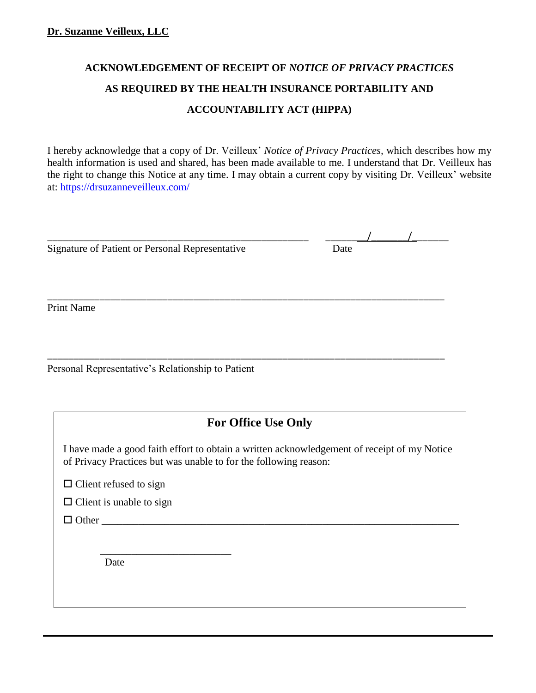# **ACKNOWLEDGEMENT OF RECEIPT OF** *NOTICE OF PRIVACY PRACTICES* **AS REQUIRED BY THE HEALTH INSURANCE PORTABILITY AND ACCOUNTABILITY ACT (HIPPA)**

I hereby acknowledge that a copy of Dr. Veilleux' *Notice of Privacy Practices,* which describes how my health information is used and shared, has been made available to me. I understand that Dr. Veilleux has the right to change this Notice at any time. I may obtain a current copy by visiting Dr. Veilleux' website at: <https://drsuzanneveilleux.com/>

 $\frac{1}{\sqrt{2\pi}}$ 

| Signature of Patient or Personal Representative | Date |
|-------------------------------------------------|------|

Print Name

Personal Representative's Relationship to Patient

# **For Office Use Only**

\_\_\_\_\_\_\_\_\_\_\_\_\_\_\_\_\_\_\_\_\_\_\_\_\_\_\_\_\_\_\_\_\_\_\_\_\_\_\_\_\_\_\_\_\_\_\_\_\_\_\_\_\_\_\_\_\_\_\_\_\_\_\_\_\_\_\_\_\_\_\_\_\_\_\_\_

\_\_\_\_\_\_\_\_\_\_\_\_\_\_\_\_\_\_\_\_\_\_\_\_\_\_\_\_\_\_\_\_\_\_\_\_\_\_\_\_\_\_\_\_\_\_\_\_\_\_\_\_\_\_\_\_\_\_\_\_\_\_\_\_\_\_\_\_\_\_\_\_\_\_\_\_

I have made a good faith effort to obtain a written acknowledgement of receipt of my Notice of Privacy Practices but was unable to for the following reason:

 $\Box$  Client refused to sign

 $\Box$  Client is unable to sign

 $\Box$  Other

Date

 $\frac{1}{2}$  ,  $\frac{1}{2}$  ,  $\frac{1}{2}$  ,  $\frac{1}{2}$  ,  $\frac{1}{2}$  ,  $\frac{1}{2}$  ,  $\frac{1}{2}$  ,  $\frac{1}{2}$  ,  $\frac{1}{2}$  ,  $\frac{1}{2}$  ,  $\frac{1}{2}$  ,  $\frac{1}{2}$  ,  $\frac{1}{2}$  ,  $\frac{1}{2}$  ,  $\frac{1}{2}$  ,  $\frac{1}{2}$  ,  $\frac{1}{2}$  ,  $\frac{1}{2}$  ,  $\frac{1$